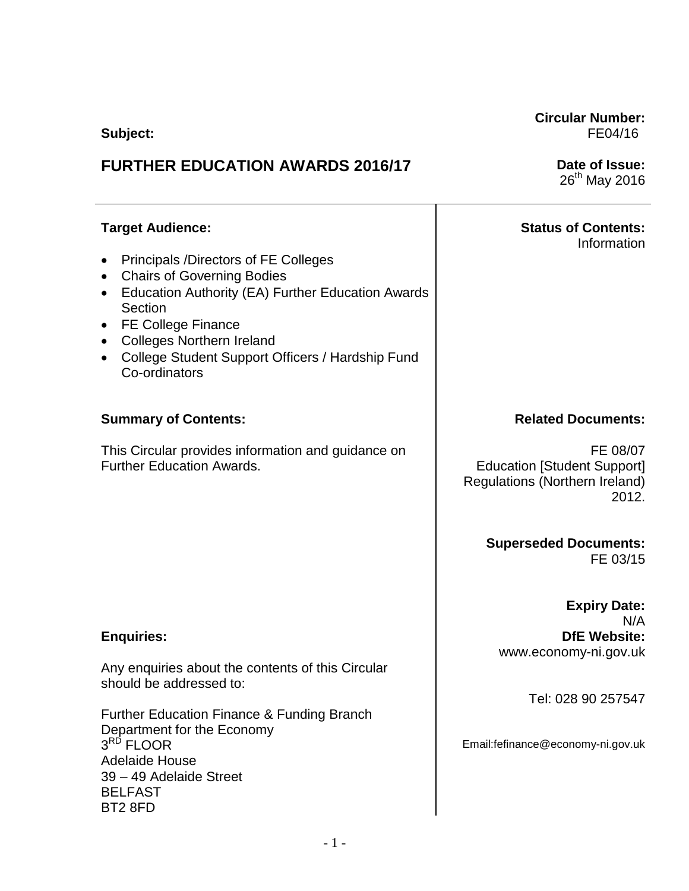**Subject:**

# **FURTHER EDUCATION AWARDS 2016/17**

**Target Audience:**

- Principals /Directors of FE Colleges
- Chairs of Governing Bodies
- Education Authority (EA) Further Education Awards Section
- FE College Finance
- Colleges Northern Ireland
- College Student Support Officers / Hardship Fund Co-ordinators

## **Summary of Contents:**

This Circular provides information and guidance on Further Education Awards.

## **Enquiries:**

Any enquiries about the contents of this Circular should be addressed to:

Further Education Finance & Funding Branch Department for the Economy  $3^{\text{RD}}$  FLOOR Adelaide House 39 – 49 Adelaide Street BELFAST BT2 8FD

**Circular Number:** FE04/16

> **Date of Issue:**  $26<sup>th</sup>$  May 2016

# **Status of Contents:**

Information

### **Related Documents:**

 FE 08/07 Education [Student Support] Regulations (Northern Ireland) 2012.

> **Superseded Documents:** FE 03/15

> > **Expiry Date:**

N/A **DfE Website:** www.economy-ni.gov.uk

Tel: 028 90 257547

Email:fefinance@economy-ni.gov.uk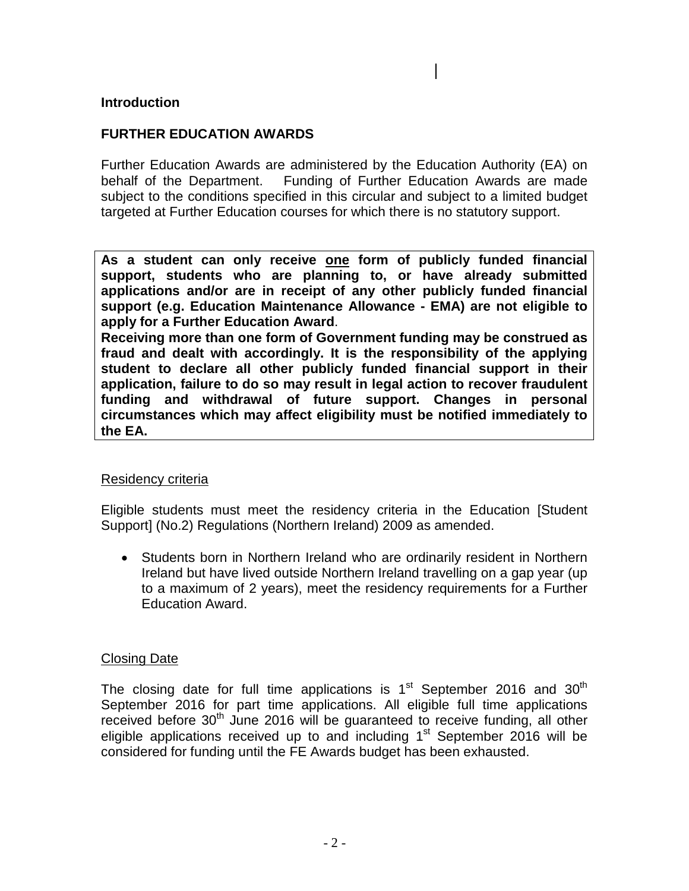#### **Introduction**

#### **FURTHER EDUCATION AWARDS**

Further Education Awards are administered by the Education Authority (EA) on behalf of the Department. Funding of Further Education Awards are made subject to the conditions specified in this circular and subject to a limited budget targeted at Further Education courses for which there is no statutory support.

**As a student can only receive one form of publicly funded financial support, students who are planning to, or have already submitted applications and/or are in receipt of any other publicly funded financial support (e.g. Education Maintenance Allowance - EMA) are not eligible to apply for a Further Education Award**.

**Receiving more than one form of Government funding may be construed as fraud and dealt with accordingly. It is the responsibility of the applying student to declare all other publicly funded financial support in their application, failure to do so may result in legal action to recover fraudulent funding and withdrawal of future support. Changes in personal circumstances which may affect eligibility must be notified immediately to the EA.** 

#### Residency criteria

Eligible students must meet the residency criteria in the Education [Student Support] (No.2) Regulations (Northern Ireland) 2009 as amended.

• Students born in Northern Ireland who are ordinarily resident in Northern Ireland but have lived outside Northern Ireland travelling on a gap year (up to a maximum of 2 years), meet the residency requirements for a Further Education Award.

#### Closing Date

The closing date for full time applications is  $1<sup>st</sup>$  September 2016 and 30<sup>th</sup> September 2016 for part time applications. All eligible full time applications received before  $30<sup>th</sup>$  June 2016 will be quaranteed to receive funding, all other eligible applications received up to and including  $1<sup>st</sup>$  September 2016 will be considered for funding until the FE Awards budget has been exhausted.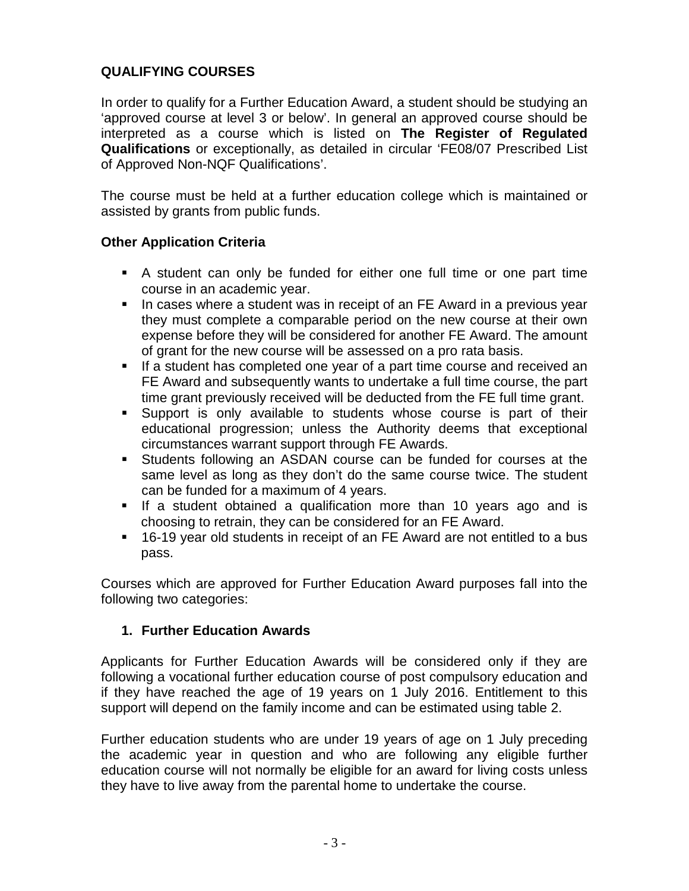# **QUALIFYING COURSES**

In order to qualify for a Further Education Award, a student should be studying an 'approved course at level 3 or below'. In general an approved course should be interpreted as a course which is listed on **The Register of Regulated Qualifications** or exceptionally, as detailed in circular 'FE08/07 Prescribed List of Approved Non-NQF Qualifications'.

The course must be held at a further education college which is maintained or assisted by grants from public funds.

## **Other Application Criteria**

- A student can only be funded for either one full time or one part time course in an academic year.
- **IF In cases where a student was in receipt of an FE Award in a previous year** they must complete a comparable period on the new course at their own expense before they will be considered for another FE Award. The amount of grant for the new course will be assessed on a pro rata basis.
- **If a student has completed one year of a part time course and received an** FE Award and subsequently wants to undertake a full time course, the part time grant previously received will be deducted from the FE full time grant.
- Support is only available to students whose course is part of their educational progression; unless the Authority deems that exceptional circumstances warrant support through FE Awards.
- Students following an ASDAN course can be funded for courses at the same level as long as they don't do the same course twice. The student can be funded for a maximum of 4 years.
- **If a student obtained a qualification more than 10 years ago and is** choosing to retrain, they can be considered for an FE Award.
- 16-19 year old students in receipt of an FE Award are not entitled to a bus pass.

Courses which are approved for Further Education Award purposes fall into the following two categories:

## **1. Further Education Awards**

Applicants for Further Education Awards will be considered only if they are following a vocational further education course of post compulsory education and if they have reached the age of 19 years on 1 July 2016. Entitlement to this support will depend on the family income and can be estimated using table 2.

Further education students who are under 19 years of age on 1 July preceding the academic year in question and who are following any eligible further education course will not normally be eligible for an award for living costs unless they have to live away from the parental home to undertake the course.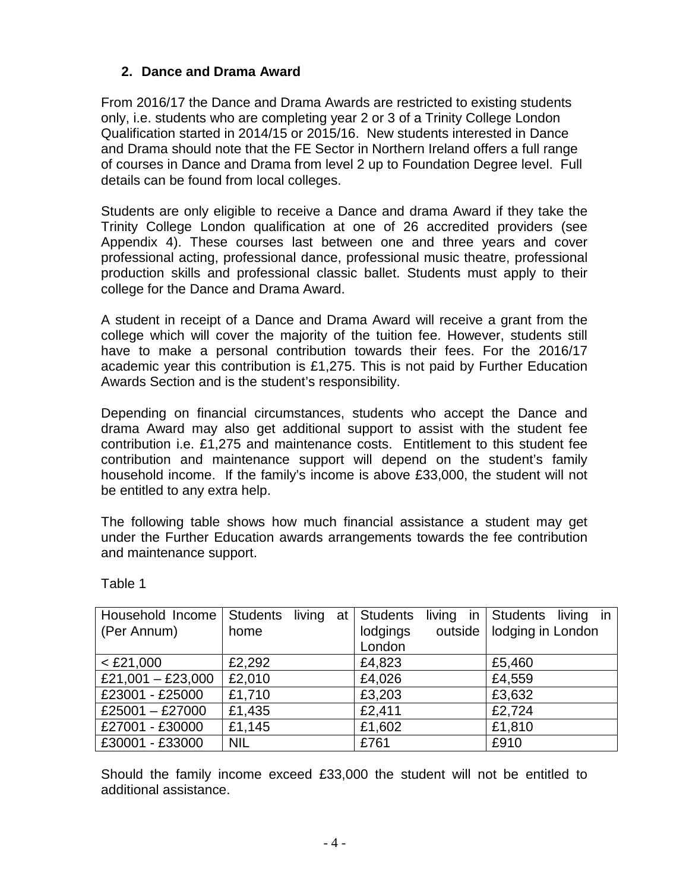## **2. Dance and Drama Award**

From 2016/17 the Dance and Drama Awards are restricted to existing students only, i.e. students who are completing year 2 or 3 of a Trinity College London Qualification started in 2014/15 or 2015/16. New students interested in Dance and Drama should note that the FE Sector in Northern Ireland offers a full range of courses in Dance and Drama from level 2 up to Foundation Degree level. Full details can be found from local colleges.

Students are only eligible to receive a Dance and drama Award if they take the Trinity College London qualification at one of 26 accredited providers (see Appendix 4). These courses last between one and three years and cover professional acting, professional dance, professional music theatre, professional production skills and professional classic ballet. Students must apply to their college for the Dance and Drama Award.

A student in receipt of a Dance and Drama Award will receive a grant from the college which will cover the majority of the tuition fee. However, students still have to make a personal contribution towards their fees. For the 2016/17 academic year this contribution is £1,275. This is not paid by Further Education Awards Section and is the student's responsibility.

Depending on financial circumstances, students who accept the Dance and drama Award may also get additional support to assist with the student fee contribution i.e. £1,275 and maintenance costs. Entitlement to this student fee contribution and maintenance support will depend on the student's family household income. If the family's income is above £33,000, the student will not be entitled to any extra help.

The following table shows how much financial assistance a student may get under the Further Education awards arrangements towards the fee contribution and maintenance support.

| Household Income  |            |  | Students living at Students |  | living in Students living in |
|-------------------|------------|--|-----------------------------|--|------------------------------|
| (Per Annum)       | home       |  | lodgings                    |  | outside   lodging in London  |
|                   |            |  | London                      |  |                              |
| $<$ £21,000       | £2,292     |  | £4,823                      |  | £5,460                       |
| £21,001 - £23,000 | £2,010     |  | £4,026                      |  | £4,559                       |
| £23001 - £25000   | £1,710     |  | £3,203                      |  | £3,632                       |
| £25001 - £27000   | £1,435     |  | £2,411                      |  | £2,724                       |
| £27001 - £30000   | £1,145     |  | £1,602                      |  | £1,810                       |
| £30001 - £33000   | <b>NIL</b> |  | £761                        |  | £910                         |

Table 1

Should the family income exceed £33,000 the student will not be entitled to additional assistance.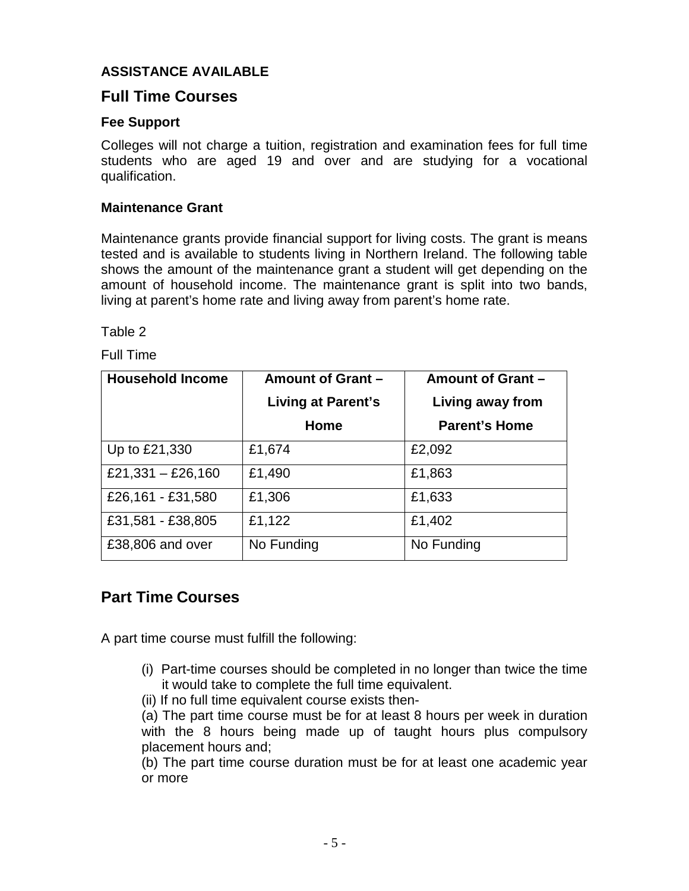## **ASSISTANCE AVAILABLE**

# **Full Time Courses**

## **Fee Support**

Colleges will not charge a tuition, registration and examination fees for full time students who are aged 19 and over and are studying for a vocational qualification.

#### **Maintenance Grant**

Maintenance grants provide financial support for living costs. The grant is means tested and is available to students living in Northern Ireland. The following table shows the amount of the maintenance grant a student will get depending on the amount of household income. The maintenance grant is split into two bands, living at parent's home rate and living away from parent's home rate.

Table 2

Full Time

| <b>Household Income</b> | Amount of Grant -<br>Living at Parent's | Amount of Grant -<br>Living away from |  |  |
|-------------------------|-----------------------------------------|---------------------------------------|--|--|
|                         | Home                                    | <b>Parent's Home</b>                  |  |  |
| Up to £21,330           | £1,674                                  | £2,092                                |  |  |
| £21,331 $-$ £26,160     | £1,490                                  | £1,863                                |  |  |
| £26,161 - £31,580       | £1,306                                  | £1,633                                |  |  |
| £31,581 - £38,805       | £1,122                                  | £1,402                                |  |  |
| £38,806 and over        | No Funding                              | No Funding                            |  |  |

# **Part Time Courses**

A part time course must fulfill the following:

- (i) Part-time courses should be completed in no longer than twice the time it would take to complete the full time equivalent.
- (ii) If no full time equivalent course exists then-

(a) The part time course must be for at least 8 hours per week in duration with the 8 hours being made up of taught hours plus compulsory placement hours and;

(b) The part time course duration must be for at least one academic year or more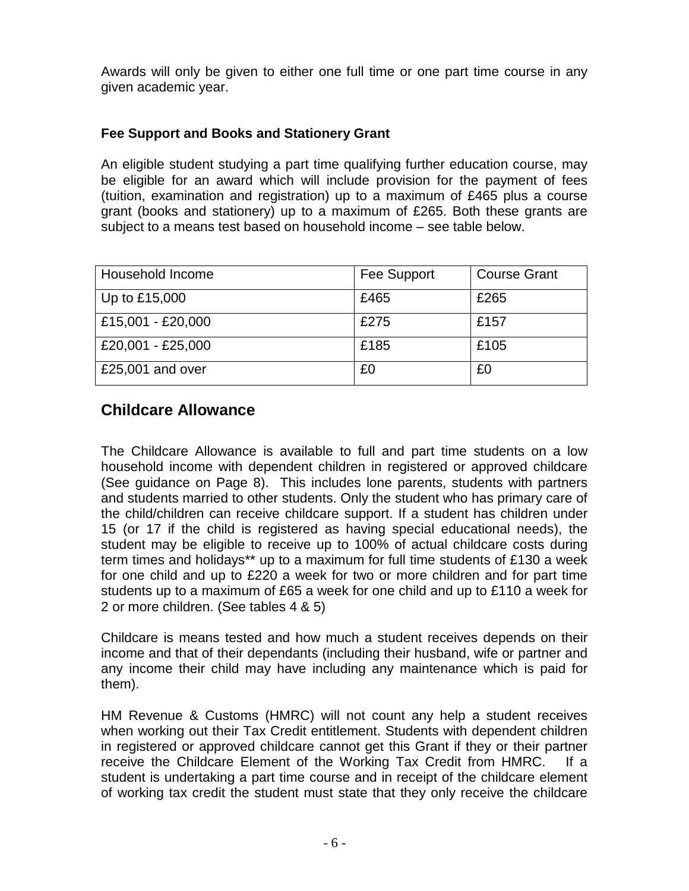Awards will only be given to either one full time or one part time course in any given academic year.

# **Fee Support and Books and Stationery Grant**

An eligible student studying a part time qualifying further education course, may be eligible for an award which will include provision for the payment of fees (tuition, examination and registration) up to a maximum of £465 plus a course grant (books and stationery) up to a maximum of £265. Both these grants are subject to a means test based on household income – see table below.

| Household Income  | Fee Support | <b>Course Grant</b> |
|-------------------|-------------|---------------------|
| Up to £15,000     | £465        | £265                |
| £15,001 - £20,000 | £275        | £157                |
| £20,001 - £25,000 | £185        | £105                |
| £25,001 and over  | £0          | £0                  |

# **Childcare Allowance**

The Childcare Allowance is available to full and part time students on a low household income with dependent children in registered or approved childcare (See guidance on Page 8). This includes lone parents, students with partners and students married to other students. Only the student who has primary care of the child/children can receive childcare support. If a student has children under 15 (or 17 if the child is registered as having special educational needs), the student may be eligible to receive up to 100% of actual childcare costs during term times and holidays\*\* up to a maximum for full time students of £130 a week for one child and up to £220 a week for two or more children and for part time students up to a maximum of £65 a week for one child and up to £110 a week for 2 or more children. (See tables 4 & 5)

Childcare is means tested and how much a student receives depends on their income and that of their dependants (including their husband, wife or partner and any income their child may have including any maintenance which is paid for them).

HM Revenue & Customs (HMRC) will not count any help a student receives when working out their Tax Credit entitlement. Students with dependent children in registered or approved childcare cannot get this Grant if they or their partner receive the Childcare Element of the Working Tax Credit from HMRC. If a student is undertaking a part time course and in receipt of the childcare element of working tax credit the student must state that they only receive the childcare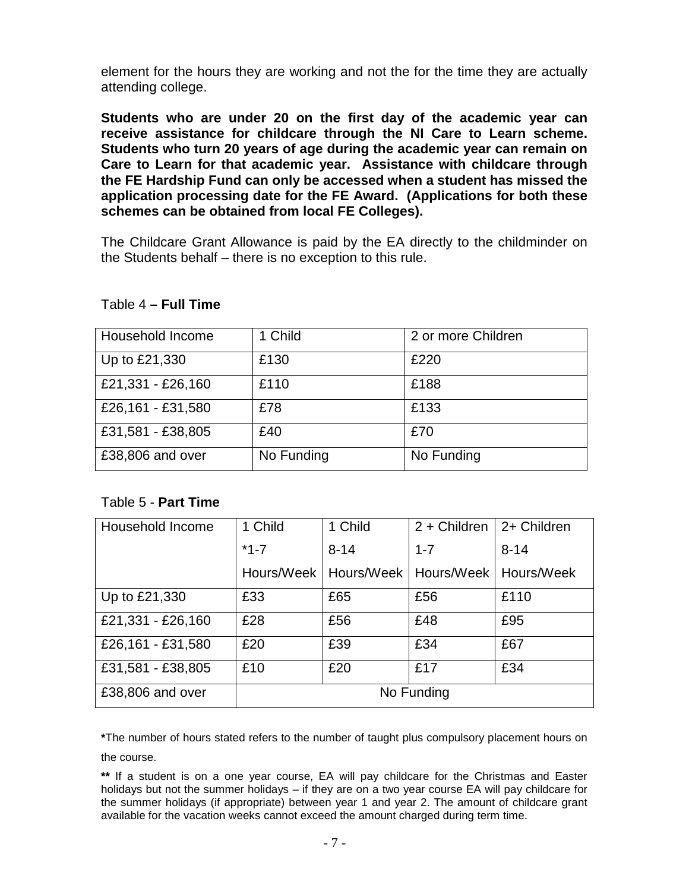element for the hours they are working and not the for the time they are actually attending college.

**Students who are under 20 on the first day of the academic year can receive assistance for childcare through the NI Care to Learn scheme. Students who turn 20 years of age during the academic year can remain on Care to Learn for that academic year. Assistance with childcare through the FE Hardship Fund can only be accessed when a student has missed the application processing date for the FE Award. (Applications for both these schemes can be obtained from local FE Colleges).**

The Childcare Grant Allowance is paid by the EA directly to the childminder on the Students behalf – there is no exception to this rule.

| Household Income  | 1 Child    | 2 or more Children |
|-------------------|------------|--------------------|
| Up to £21,330     | £130       | £220               |
| £21,331 - £26,160 | £110       | £188               |
| £26,161 - £31,580 | £78        | £133               |
| £31,581 - £38,805 | £40        | £70                |
| £38,806 and over  | No Funding | No Funding         |

#### Table 4 **– Full Time**

### Table 5 - **Part Time**

| Household Income  | 1 Child    | 1 Child                 | $2 +$ Children | 2+ Children             |
|-------------------|------------|-------------------------|----------------|-------------------------|
|                   | $*1-7$     | $8 - 14$                | $1 - 7$        | $8 - 14$                |
|                   |            | Hours/Week   Hours/Week |                | Hours/Week   Hours/Week |
| Up to £21,330     | £33        | £65                     | £56            | £110                    |
| £21,331 - £26,160 | £28        | £56                     | £48            | £95                     |
| £26,161 - £31,580 | £20        | £39                     | £34            | £67                     |
| £31,581 - £38,805 | £10        | £20                     | £17            | £34                     |
| £38,806 and over  | No Funding |                         |                |                         |

**\***The number of hours stated refers to the number of taught plus compulsory placement hours on the course.

**\*\*** If a student is on a one year course, EA will pay childcare for the Christmas and Easter holidays but not the summer holidays – if they are on a two year course EA will pay childcare for the summer holidays (if appropriate) between year 1 and year 2. The amount of childcare grant available for the vacation weeks cannot exceed the amount charged during term time.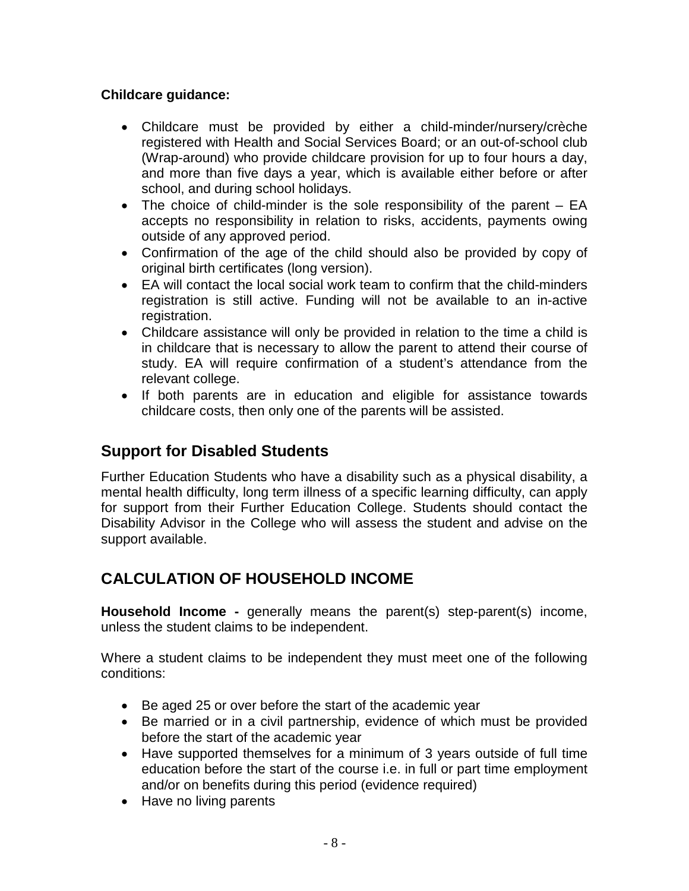# **Childcare guidance:**

- Childcare must be provided by either a child-minder/nursery/crèche registered with Health and Social Services Board; or an out-of-school club (Wrap-around) who provide childcare provision for up to four hours a day, and more than five days a year, which is available either before or after school, and during school holidays.
- The choice of child-minder is the sole responsibility of the parent EA accepts no responsibility in relation to risks, accidents, payments owing outside of any approved period.
- Confirmation of the age of the child should also be provided by copy of original birth certificates (long version).
- EA will contact the local social work team to confirm that the child-minders registration is still active. Funding will not be available to an in-active registration.
- Childcare assistance will only be provided in relation to the time a child is in childcare that is necessary to allow the parent to attend their course of study. EA will require confirmation of a student's attendance from the relevant college.
- If both parents are in education and eligible for assistance towards childcare costs, then only one of the parents will be assisted.

# **Support for Disabled Students**

Further Education Students who have a disability such as a physical disability, a mental health difficulty, long term illness of a specific learning difficulty, can apply for support from their Further Education College. Students should contact the Disability Advisor in the College who will assess the student and advise on the support available.

# **CALCULATION OF HOUSEHOLD INCOME**

**Household Income -** generally means the parent(s) step-parent(s) income, unless the student claims to be independent.

Where a student claims to be independent they must meet one of the following conditions:

- Be aged 25 or over before the start of the academic year
- Be married or in a civil partnership, evidence of which must be provided before the start of the academic year
- Have supported themselves for a minimum of 3 years outside of full time education before the start of the course i.e. in full or part time employment and/or on benefits during this period (evidence required)
- Have no living parents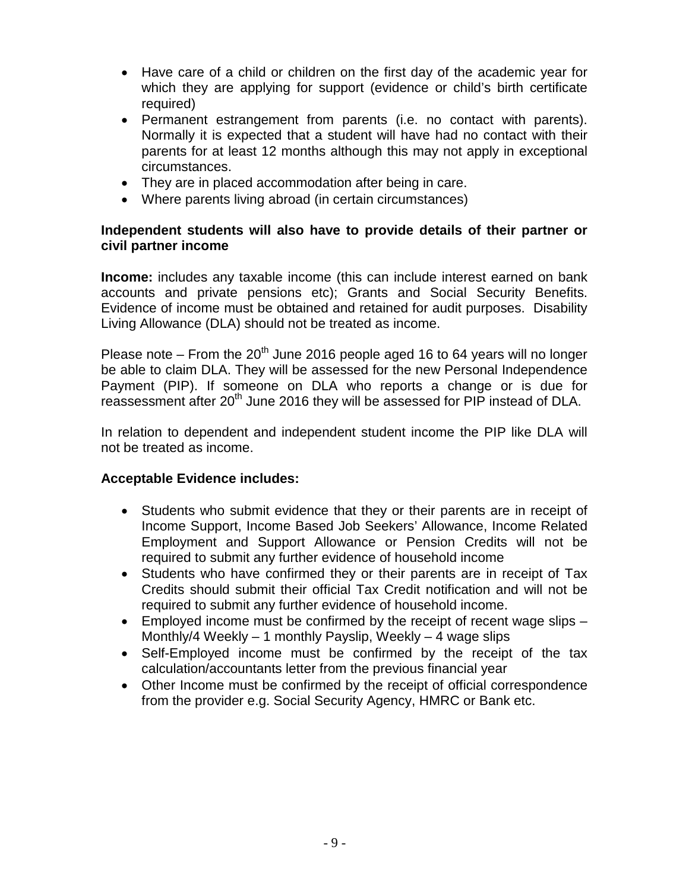- Have care of a child or children on the first day of the academic year for which they are applying for support (evidence or child's birth certificate required)
- Permanent estrangement from parents (i.e. no contact with parents). Normally it is expected that a student will have had no contact with their parents for at least 12 months although this may not apply in exceptional circumstances.
- They are in placed accommodation after being in care.
- Where parents living abroad (in certain circumstances)

### **Independent students will also have to provide details of their partner or civil partner income**

**Income:** includes any taxable income (this can include interest earned on bank accounts and private pensions etc); Grants and Social Security Benefits. Evidence of income must be obtained and retained for audit purposes. Disability Living Allowance (DLA) should not be treated as income.

Please note – From the  $20<sup>th</sup>$  June 2016 people aged 16 to 64 years will no longer be able to claim DLA. They will be assessed for the new Personal Independence Payment (PIP). If someone on DLA who reports a change or is due for reassessment after 20<sup>th</sup> June 2016 they will be assessed for PIP instead of DLA.

In relation to dependent and independent student income the PIP like DLA will not be treated as income.

### **Acceptable Evidence includes:**

- Students who submit evidence that they or their parents are in receipt of Income Support, Income Based Job Seekers' Allowance, Income Related Employment and Support Allowance or Pension Credits will not be required to submit any further evidence of household income
- Students who have confirmed they or their parents are in receipt of Tax Credits should submit their official Tax Credit notification and will not be required to submit any further evidence of household income.
- Employed income must be confirmed by the receipt of recent wage slips Monthly/4 Weekly – 1 monthly Payslip, Weekly – 4 wage slips
- Self-Employed income must be confirmed by the receipt of the tax calculation/accountants letter from the previous financial year
- Other Income must be confirmed by the receipt of official correspondence from the provider e.g. Social Security Agency, HMRC or Bank etc.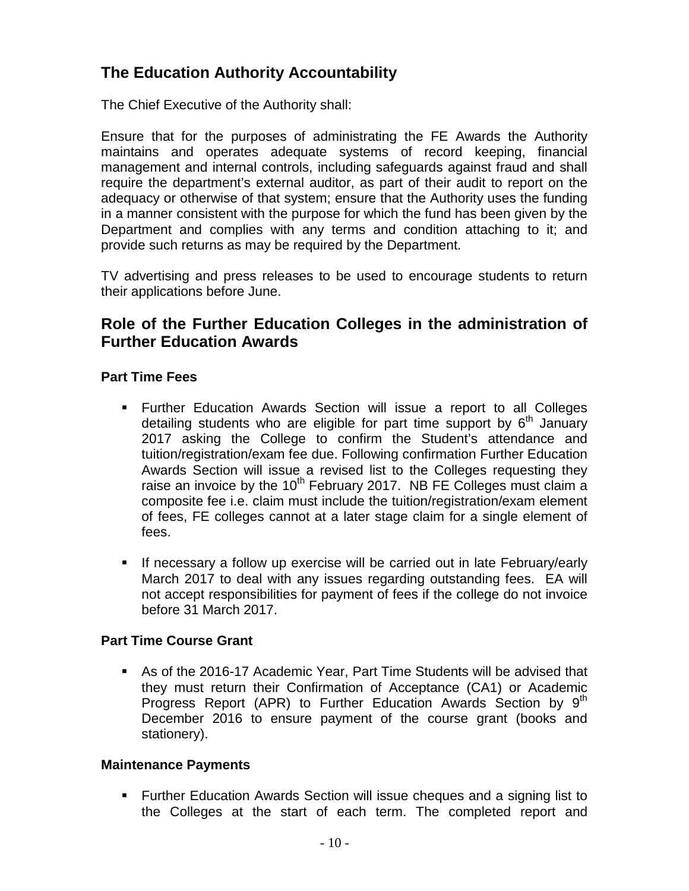# **The Education Authority Accountability**

The Chief Executive of the Authority shall:

Ensure that for the purposes of administrating the FE Awards the Authority maintains and operates adequate systems of record keeping, financial management and internal controls, including safeguards against fraud and shall require the department's external auditor, as part of their audit to report on the adequacy or otherwise of that system; ensure that the Authority uses the funding in a manner consistent with the purpose for which the fund has been given by the Department and complies with any terms and condition attaching to it; and provide such returns as may be required by the Department.

TV advertising and press releases to be used to encourage students to return their applications before June.

# **Role of the Further Education Colleges in the administration of Further Education Awards**

## **Part Time Fees**

- Further Education Awards Section will issue a report to all Colleges detailing students who are eligible for part time support by  $6<sup>th</sup>$  January 2017 asking the College to confirm the Student's attendance and tuition/registration/exam fee due. Following confirmation Further Education Awards Section will issue a revised list to the Colleges requesting they raise an invoice by the  $10<sup>th</sup>$  February 2017. NB FE Colleges must claim a composite fee i.e. claim must include the tuition/registration/exam element of fees, FE colleges cannot at a later stage claim for a single element of fees.
- **If necessary a follow up exercise will be carried out in late February/early** March 2017 to deal with any issues regarding outstanding fees. EA will not accept responsibilities for payment of fees if the college do not invoice before 31 March 2017.

## **Part Time Course Grant**

 As of the 2016-17 Academic Year, Part Time Students will be advised that they must return their Confirmation of Acceptance (CA1) or Academic Progress Report (APR) to Further Education Awards Section by  $9<sup>th</sup>$ December 2016 to ensure payment of the course grant (books and stationery).

### **Maintenance Payments**

 Further Education Awards Section will issue cheques and a signing list to the Colleges at the start of each term. The completed report and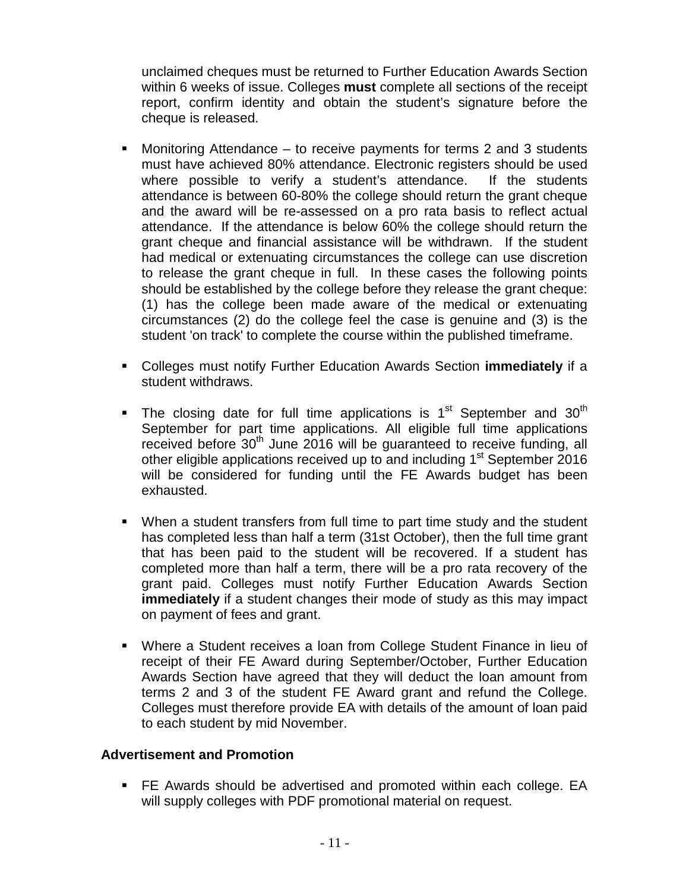unclaimed cheques must be returned to Further Education Awards Section within 6 weeks of issue. Colleges **must** complete all sections of the receipt report, confirm identity and obtain the student's signature before the cheque is released.

- Monitoring Attendance to receive payments for terms 2 and 3 students must have achieved 80% attendance. Electronic registers should be used where possible to verify a student's attendance. If the students attendance is between 60-80% the college should return the grant cheque and the award will be re-assessed on a pro rata basis to reflect actual attendance. If the attendance is below 60% the college should return the grant cheque and financial assistance will be withdrawn. If the student had medical or extenuating circumstances the college can use discretion to release the grant cheque in full. In these cases the following points should be established by the college before they release the grant cheque: (1) has the college been made aware of the medical or extenuating circumstances (2) do the college feel the case is genuine and (3) is the student 'on track' to complete the course within the published timeframe.
- Colleges must notify Further Education Awards Section **immediately** if a student withdraws.
- The closing date for full time applications is  $1<sup>st</sup>$  September and  $30<sup>th</sup>$ September for part time applications. All eligible full time applications received before  $30<sup>th</sup>$  June 2016 will be quaranteed to receive funding, all other eligible applications received up to and including 1<sup>st</sup> September 2016 will be considered for funding until the FE Awards budget has been exhausted.
- When a student transfers from full time to part time study and the student has completed less than half a term (31st October), then the full time grant that has been paid to the student will be recovered. If a student has completed more than half a term, there will be a pro rata recovery of the grant paid. Colleges must notify Further Education Awards Section **immediately** if a student changes their mode of study as this may impact on payment of fees and grant.
- Where a Student receives a loan from College Student Finance in lieu of receipt of their FE Award during September/October, Further Education Awards Section have agreed that they will deduct the loan amount from terms 2 and 3 of the student FE Award grant and refund the College. Colleges must therefore provide EA with details of the amount of loan paid to each student by mid November.

### **Advertisement and Promotion**

 FE Awards should be advertised and promoted within each college. EA will supply colleges with PDF promotional material on request.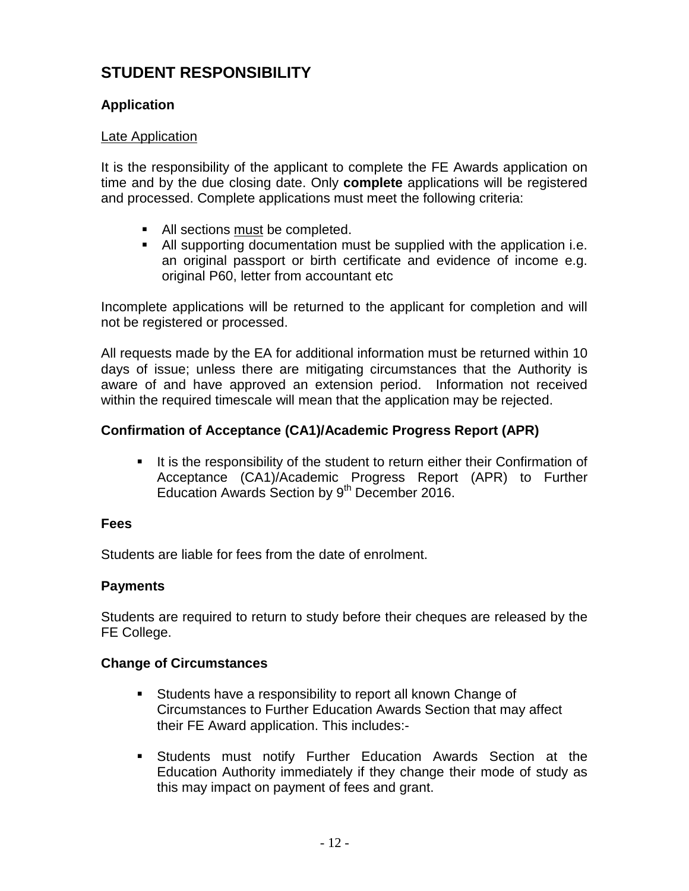# **STUDENT RESPONSIBILITY**

## **Application**

### Late Application

It is the responsibility of the applicant to complete the FE Awards application on time and by the due closing date. Only **complete** applications will be registered and processed. Complete applications must meet the following criteria:

- All sections must be completed.
- All supporting documentation must be supplied with the application i.e. an original passport or birth certificate and evidence of income e.g. original P60, letter from accountant etc

Incomplete applications will be returned to the applicant for completion and will not be registered or processed.

All requests made by the EA for additional information must be returned within 10 days of issue; unless there are mitigating circumstances that the Authority is aware of and have approved an extension period. Information not received within the required timescale will mean that the application may be rejected.

## **Confirmation of Acceptance (CA1)/Academic Progress Report (APR)**

It is the responsibility of the student to return either their Confirmation of Acceptance (CA1)/Academic Progress Report (APR) to Further Education Awards Section by 9<sup>th</sup> December 2016.

### **Fees**

Students are liable for fees from the date of enrolment.

### **Payments**

Students are required to return to study before their cheques are released by the FE College.

### **Change of Circumstances**

- **Students have a responsibility to report all known Change of** Circumstances to Further Education Awards Section that may affect their FE Award application. This includes:-
- Students must notify Further Education Awards Section at the Education Authority immediately if they change their mode of study as this may impact on payment of fees and grant.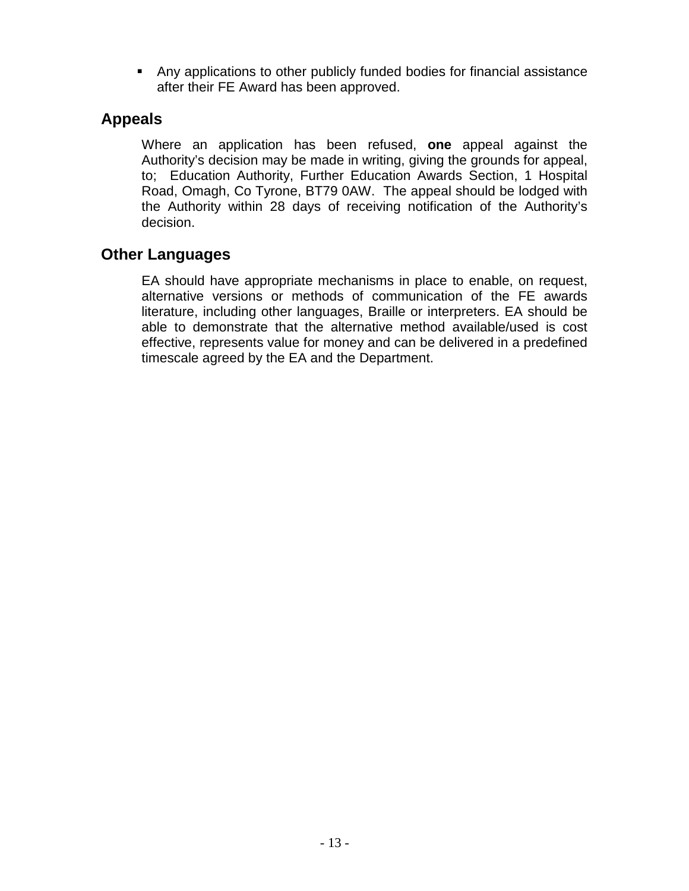Any applications to other publicly funded bodies for financial assistance after their FE Award has been approved.

# **Appeals**

Where an application has been refused, **one** appeal against the Authority's decision may be made in writing, giving the grounds for appeal, to; Education Authority, Further Education Awards Section, 1 Hospital Road, Omagh, Co Tyrone, BT79 0AW. The appeal should be lodged with the Authority within 28 days of receiving notification of the Authority's decision.

# **Other Languages**

EA should have appropriate mechanisms in place to enable, on request, alternative versions or methods of communication of the FE awards literature, including other languages, Braille or interpreters. EA should be able to demonstrate that the alternative method available/used is cost effective, represents value for money and can be delivered in a predefined timescale agreed by the EA and the Department.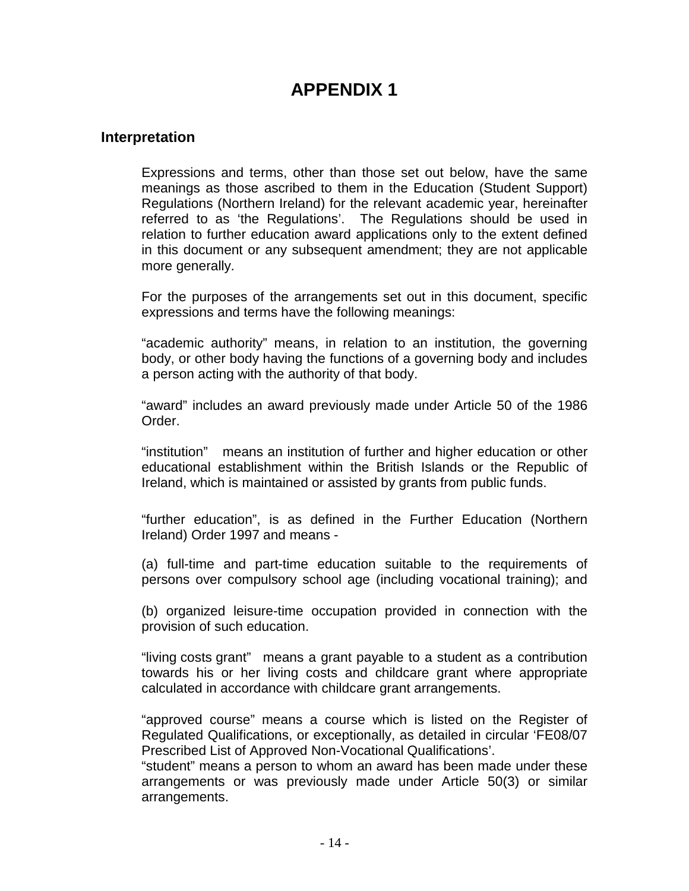## **Interpretation**

Expressions and terms, other than those set out below, have the same meanings as those ascribed to them in the Education (Student Support) Regulations (Northern Ireland) for the relevant academic year, hereinafter referred to as 'the Regulations'. The Regulations should be used in relation to further education award applications only to the extent defined in this document or any subsequent amendment; they are not applicable more generally.

For the purposes of the arrangements set out in this document, specific expressions and terms have the following meanings:

"academic authority" means, in relation to an institution, the governing body, or other body having the functions of a governing body and includes a person acting with the authority of that body.

"award" includes an award previously made under Article 50 of the 1986 Order.

"institution" means an institution of further and higher education or other educational establishment within the British Islands or the Republic of Ireland, which is maintained or assisted by grants from public funds.

"further education", is as defined in the Further Education (Northern Ireland) Order 1997 and means -

(a) full-time and part-time education suitable to the requirements of persons over compulsory school age (including vocational training); and

(b) organized leisure-time occupation provided in connection with the provision of such education.

"living costs grant" means a grant payable to a student as a contribution towards his or her living costs and childcare grant where appropriate calculated in accordance with childcare grant arrangements.

"approved course" means a course which is listed on the Register of Regulated Qualifications, or exceptionally, as detailed in circular 'FE08/07 Prescribed List of Approved Non-Vocational Qualifications'.

"student" means a person to whom an award has been made under these arrangements or was previously made under Article 50(3) or similar arrangements.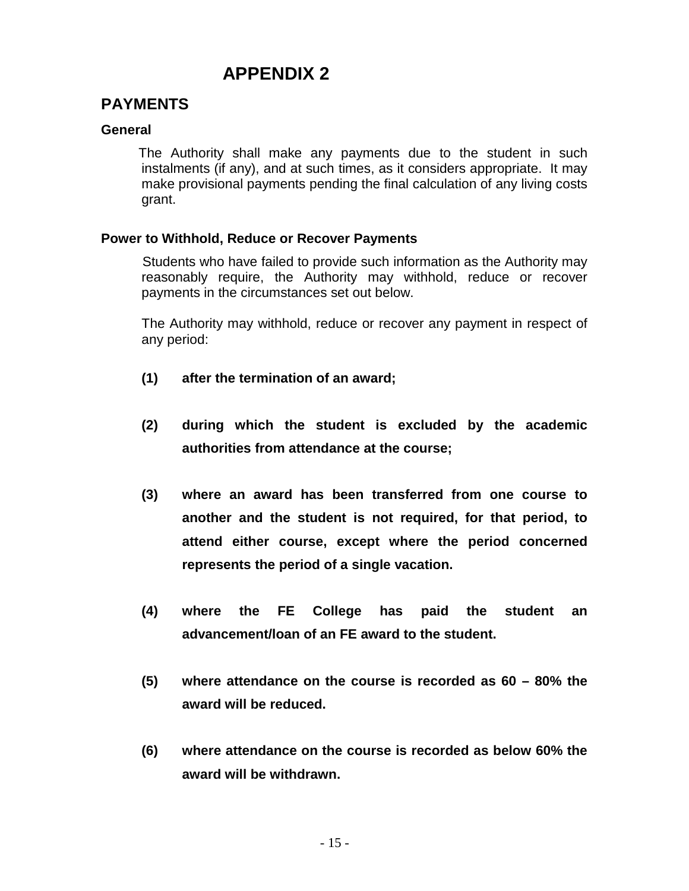# **PAYMENTS**

### **General**

 The Authority shall make any payments due to the student in such instalments (if any), and at such times, as it considers appropriate. It may make provisional payments pending the final calculation of any living costs grant.

#### **Power to Withhold, Reduce or Recover Payments**

 Students who have failed to provide such information as the Authority may reasonably require, the Authority may withhold, reduce or recover payments in the circumstances set out below.

 The Authority may withhold, reduce or recover any payment in respect of any period:

- **(1) after the termination of an award;**
- **(2) during which the student is excluded by the academic authorities from attendance at the course;**
- **(3) where an award has been transferred from one course to another and the student is not required, for that period, to attend either course, except where the period concerned represents the period of a single vacation.**
- **(4) where the FE College has paid the student an advancement/loan of an FE award to the student.**
- **(5) where attendance on the course is recorded as 60 – 80% the award will be reduced.**
- **(6) where attendance on the course is recorded as below 60% the award will be withdrawn.**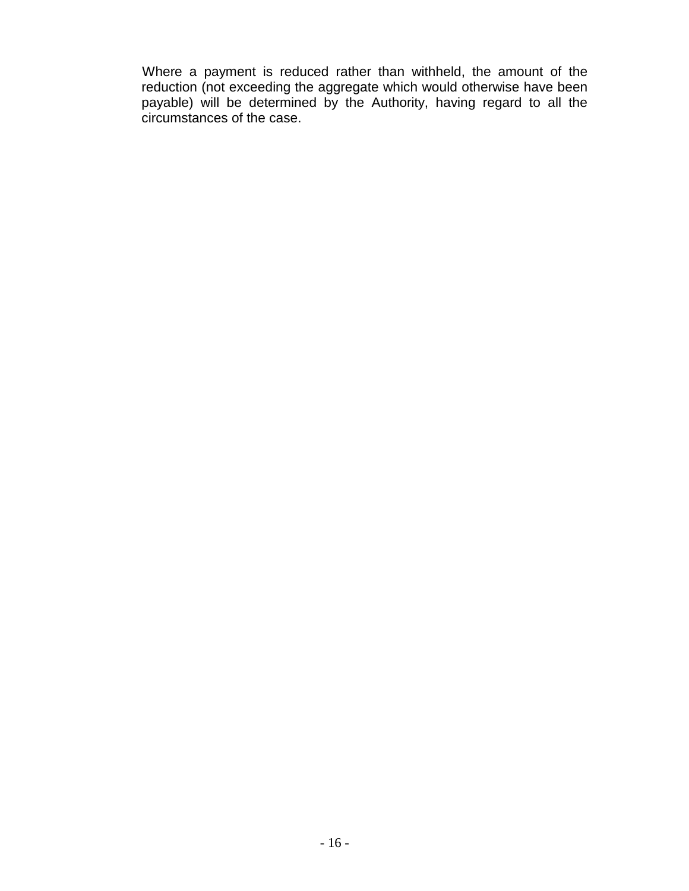Where a payment is reduced rather than withheld, the amount of the reduction (not exceeding the aggregate which would otherwise have been payable) will be determined by the Authority, having regard to all the circumstances of the case.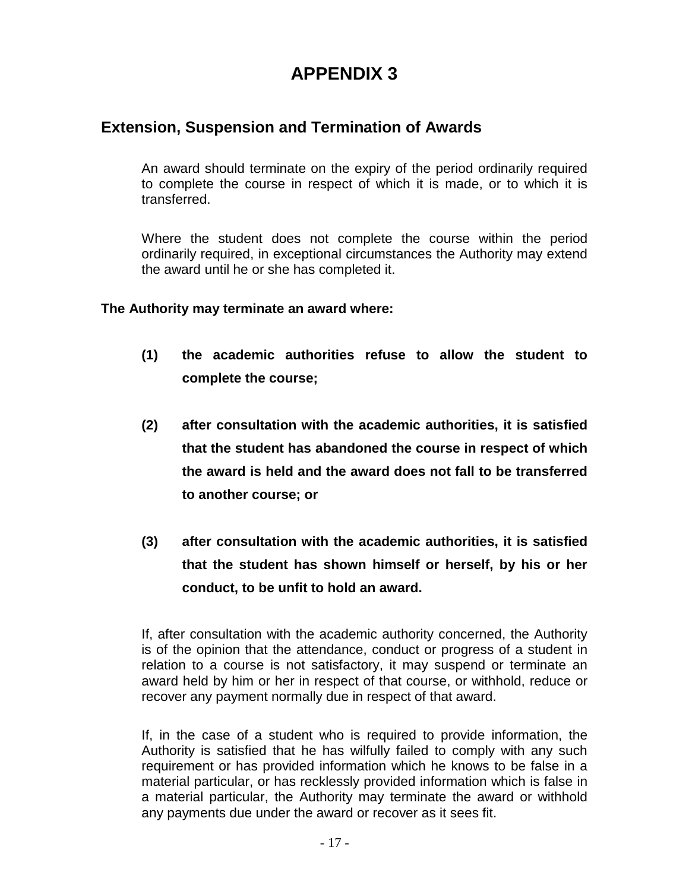# **Extension, Suspension and Termination of Awards**

An award should terminate on the expiry of the period ordinarily required to complete the course in respect of which it is made, or to which it is transferred.

Where the student does not complete the course within the period ordinarily required, in exceptional circumstances the Authority may extend the award until he or she has completed it.

### **The Authority may terminate an award where:**

- **(1) the academic authorities refuse to allow the student to complete the course;**
- **(2) after consultation with the academic authorities, it is satisfied that the student has abandoned the course in respect of which the award is held and the award does not fall to be transferred to another course; or**
- **(3) after consultation with the academic authorities, it is satisfied that the student has shown himself or herself, by his or her conduct, to be unfit to hold an award.**

If, after consultation with the academic authority concerned, the Authority is of the opinion that the attendance, conduct or progress of a student in relation to a course is not satisfactory, it may suspend or terminate an award held by him or her in respect of that course, or withhold, reduce or recover any payment normally due in respect of that award.

If, in the case of a student who is required to provide information, the Authority is satisfied that he has wilfully failed to comply with any such requirement or has provided information which he knows to be false in a material particular, or has recklessly provided information which is false in a material particular, the Authority may terminate the award or withhold any payments due under the award or recover as it sees fit.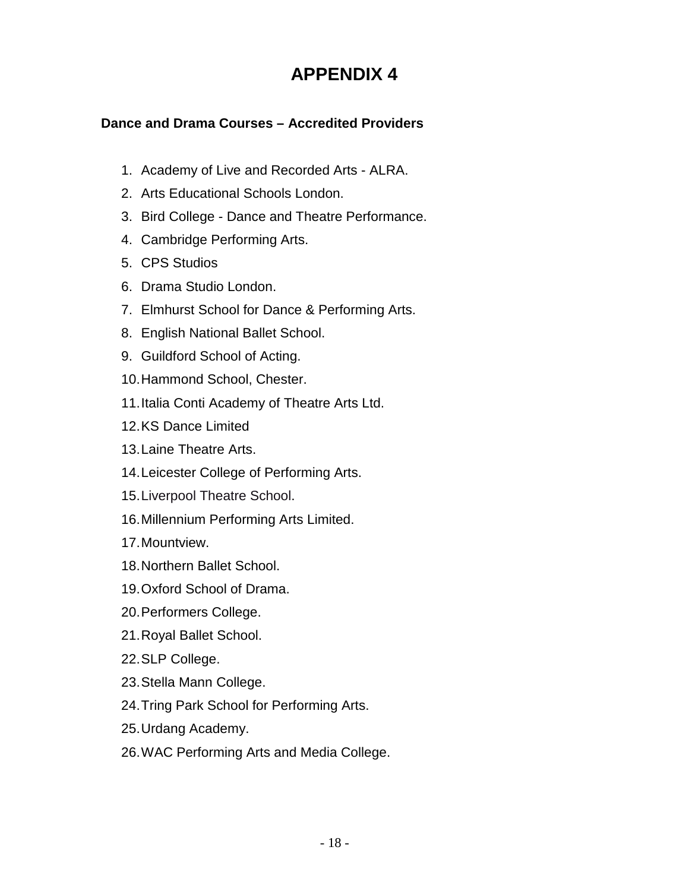# **Dance and Drama Courses – Accredited Providers**

- 1. Academy of Live and Recorded Arts ALRA.
- 2. Arts Educational Schools London.
- 3. Bird College Dance and Theatre Performance.
- 4. Cambridge Performing Arts.
- 5. CPS Studios
- 6. Drama Studio London.
- 7. Elmhurst School for Dance & Performing Arts.
- 8. English National Ballet School.
- 9. Guildford School of Acting.
- 10.Hammond School, Chester.
- 11.Italia Conti Academy of Theatre Arts Ltd.
- 12.KS Dance Limited
- 13.Laine Theatre Arts.
- 14.Leicester College of Performing Arts.
- 15.Liverpool Theatre School.
- 16.Millennium Performing Arts Limited.
- 17.Mountview.
- 18.Northern Ballet School.
- 19.Oxford School of Drama.
- 20.Performers College.
- 21.Royal Ballet School.
- 22.SLP College.
- 23.Stella Mann College.
- 24.Tring Park School for Performing Arts.
- 25.Urdang Academy.
- 26.WAC Performing Arts and Media College.